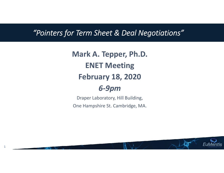## *"Pointers for Term Sheet & Deal Negotiations"*

**Mark A. Tepper, Ph.D. ENET Meeting February 18, 2020** *6‐9pm*

Draper Laboratory, Hill Building, One Hampshire St. Cambridge, MA.

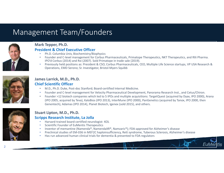## Management Team/Founders



#### **Mark Tepper, Ph.D.**

#### **President & Chief Executive Officer**

- •Ph.D. Columbia Univ, Biochemistry/Biophysics
- • Founder and C‐level management for Corbus Pharmaceuticals, Primatope Therapeutics, NKT Therapeutics, and RXi Pharma. IPO'd Corbus (2014) and Rxi (2007). Sold Primatope in trade sale (2019).
- • Previously held positions as: President & CSO, Corbus Pharmaceuticals, CEO, Multiple Life Science startups, VP USA Research & Operations, EMD Serono; Sr. Investigator, Bristol‐Myers Squibb



#### **James Larrick, M.D., Ph.D. Chief Scientific Officer**

- •M.D., Ph.D. Duke, Post‐doc Stanford; Board‐certified Internal Medicine.
- •Founder and C‐level management for Velocity Pharmaceutical Development, Panorama Research Inst., and Cetus/Chiron.
- Founder >12 biotech companies which led to 5 IPOs and multiple acquisitions: TargetQuest (acquired by Dyax, IPO 2000), Arana (IPO 2005, acquired by Teva), KaloBios (IPO 2013), InterMune (IPO 2000), PanGenetics (acquired by Tanox, IPO 2000, then Genentech), Adamas (IPO 2014), Planet Biotech, Igenex (sold 2015), and others.



## **Stuart Lipton, M.D., Ph.D.**

#### **Scripps Research Institute, La Jolla**

- •Harvard‐trained board‐certified neurologist‐ KOL
- •**•** Scientific Founder of EuMentis Therapeutics
- •Inventor of memantine (Namenda®, NamendaXR®, Namzaric®); FDA‐approved for Alzheimer's disease
- •Preclinical studies of EM‐036 in MEF2C haploinsufficiency, Rett syndrome, Tuberous Sclerosis, Alzheimer's disease
- •Has run advanced human clinical trials for dementia & presented to FDA regulators

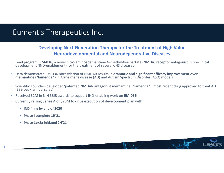## Eumentis Therapeutics Inc.

### **Developing Next Generation Therapy for the Treatment of High Value Neurodevelopmental and Neurodegenerative Diseases**

- Lead program: **EM‐036**, <sup>a</sup> novel nitro‐aminoadamantane *<sup>N</sup>*‐methyl‐D‐aspartate (NMDA) receptor antagonist in preclinical development (IND‐enablement) for the treatment of several CNS diseases
- $\bullet$  Data demonstrate EM‐036 nitrosylation of NMDAR results in **dramatic and significant efficacy improvement over memantine (Namenda®)** in Alzheimer's disease (AD) and Autism Spectrum Disorder (ASD) models
- $\bullet$ Scientific Founders developed/patented NMDAR antagonist memantine (Namenda®), most recent drug approved to treat AD (\$3B peak annual sales)
- $\bullet$ Received \$2M in NIH SBIR awards to support IND‐enabling work on **EM‐036**
- • Currently raising Series <sup>A</sup> of \$20M to drive execution of development plan with:
	- **IND filing by end of 2020**
	- •**Phase I complete 1H'21**
	- **Phase 1b/2a initiated 2H'21**

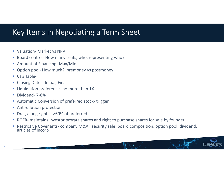## Key Items in Negotiating <sup>a</sup> Term Sheet

- Valuation- Market vs NPV
- Board control- How many seats, who, representing who?
- Amount of Financing‐ Max/Min
- •Option pool‐ How much? premoney vs postmoney
- Cap Table-

4

- Closing Dates- Initial, Final
- Liquidation preference- no more than 1X
- Dividend‐ 7‐8%
- Automatic Conversion of preferred stock-trigger
- Anti-dilution protection
- Drag-along rights >60% of preferred
- $\bullet$ • ROFR- maintains investor prorata shares and right to purchase shares for sale by founder
- $\bullet$ • Restrictive Covenants- company M&A, security sale, board composition, option pool, dividend, articles of incorp articles of incorp